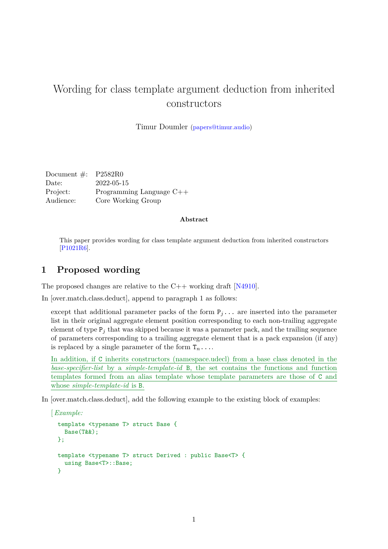## Wording for class template argument deduction from inherited constructors

Timur Doumler [\(papers@timur.audio\)](mailto:papers@timur.audio)

| Document $\#$ : P2582R0 |                            |
|-------------------------|----------------------------|
| Date:                   | 2022-05-15                 |
| Project:                | Programming Language $C++$ |
| Audience:               | Core Working Group         |

## **Abstract**

This paper provides wording for class template argument deduction from inherited constructors [\[P1021R6\]](#page-1-0).

## **1 Proposed wording**

The proposed changes are relative to the  $C_{++}$  working draft [\[N4910\]](#page-1-1).

In [over.match.class.deduct], append to paragraph 1 as follows:

except that additional parameter packs of the form  $P_j \ldots$  are inserted into the parameter list in their original aggregate element position corresponding to each non-trailing aggregate element of type  $P_j$  that was skipped because it was a parameter pack, and the trailing sequence of parameters corresponding to a trailing aggregate element that is a pack expansion (if any) is replaced by a single parameter of the form  $T_n$ ....

In addition, if C inherits constructors (namespace.udecl) from a base class denoted in the *base-specifier-list* by a *simple-template-id* B, the set contains the functions and function templates formed from an alias template whose template parameters are those of C and whose *simple-template-id* is B.

In [over.match.class.deduct], add the following example to the existing block of examples:

[*Example:*

```
template <typename T> struct Base {
  Base(T&&);
\lambda:
template <typename T> struct Derived : public Base<T> {
  using Base<T>::Base;
}
```